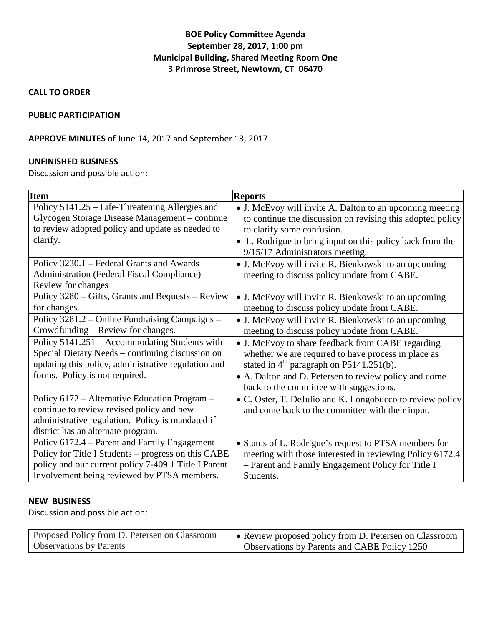# **BOE Policy Committee Agenda September 28, 2017, 1:00 pm Municipal Building, Shared Meeting Room One 3 Primrose Street, Newtown, CT 06470**

**CALL TO ORDER**

#### **PUBLIC PARTICIPATION**

## **APPROVE MINUTES** of June 14, 2017 and September 13, 2017

## **UNFINISHED BUSINESS**

Discussion and possible action:

| <b>Item</b>                                          | <b>Reports</b>                                             |
|------------------------------------------------------|------------------------------------------------------------|
| Policy 5141.25 - Life-Threatening Allergies and      | • J. McEvoy will invite A. Dalton to an upcoming meeting   |
| Glycogen Storage Disease Management – continue       | to continue the discussion on revising this adopted policy |
| to review adopted policy and update as needed to     | to clarify some confusion.                                 |
| clarify.                                             | • L. Rodrigue to bring input on this policy back from the  |
|                                                      | 9/15/17 Administrators meeting.                            |
| Policy 3230.1 – Federal Grants and Awards            | • J. McEvoy will invite R. Bienkowski to an upcoming       |
| Administration (Federal Fiscal Compliance) –         | meeting to discuss policy update from CABE.                |
| Review for changes                                   |                                                            |
| Policy 3280 – Gifts, Grants and Bequests – Review    | • J. McEvoy will invite R. Bienkowski to an upcoming       |
| for changes.                                         | meeting to discuss policy update from CABE.                |
| Policy 3281.2 – Online Fundraising Campaigns –       | • J. McEvoy will invite R. Bienkowski to an upcoming       |
| Crowdfunding – Review for changes.                   | meeting to discuss policy update from CABE.                |
| Policy 5141.251 – Accommodating Students with        | • J. McEvoy to share feedback from CABE regarding          |
| Special Dietary Needs – continuing discussion on     | whether we are required to have process in place as        |
| updating this policy, administrative regulation and  | stated in $4th$ paragraph on P5141.251(b).                 |
| forms. Policy is not required.                       | • A. Dalton and D. Petersen to review policy and come      |
|                                                      | back to the committee with suggestions.                    |
| Policy 6172 - Alternative Education Program -        | • C. Oster, T. DeJulio and K. Longobucco to review policy  |
| continue to review revised policy and new            | and come back to the committee with their input.           |
| administrative regulation. Policy is mandated if     |                                                            |
| district has an alternate program.                   |                                                            |
| Policy 6172.4 – Parent and Family Engagement         | • Status of L. Rodrigue's request to PTSA members for      |
| Policy for Title I Students – progress on this CABE  | meeting with those interested in reviewing Policy 6172.4   |
| policy and our current policy 7-409.1 Title I Parent | - Parent and Family Engagement Policy for Title I          |
| Involvement being reviewed by PTSA members.          | Students.                                                  |

#### **NEW BUSINESS**

Discussion and possible action:

| Proposed Policy from D. Petersen on Classroom | • Review proposed policy from D. Petersen on Classroom |
|-----------------------------------------------|--------------------------------------------------------|
| <b>Observations by Parents</b>                | <b>Observations by Parents and CABE Policy 1250</b>    |